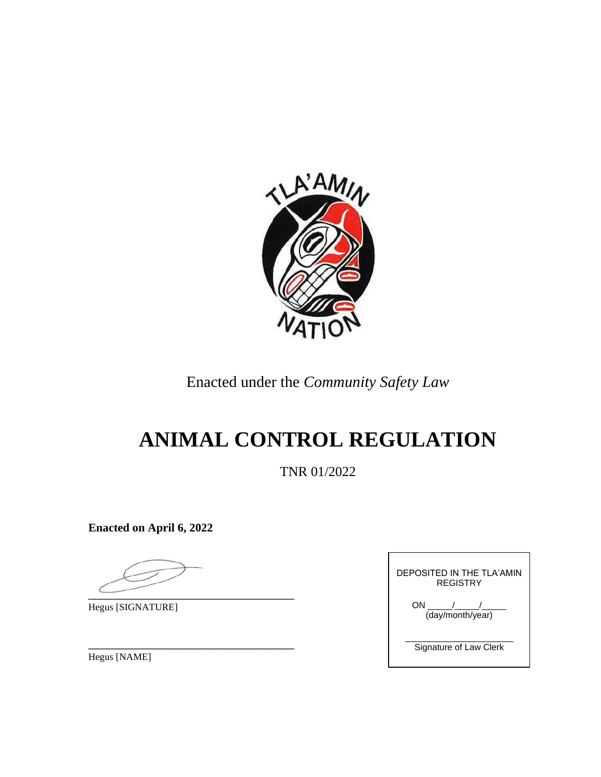

Enacted under the *Community Safety Law*

# **ANIMAL CONTROL REGULATION**

TNR 01/2022

**Enacted on April 6, 2022**

 $\overline{\phantom{a}}$ 

Hegus [SIGNATURE]

\_\_\_\_\_\_\_\_\_\_\_\_\_\_\_\_\_\_\_\_\_\_\_\_\_\_\_\_\_\_ Hegus [NAME]

| DEPOSITED IN THE TI A'AMIN<br>REGISTRY |  |  |
|----------------------------------------|--|--|
| ON /<br>(day/month/year)               |  |  |
| Signature of Law Clerk                 |  |  |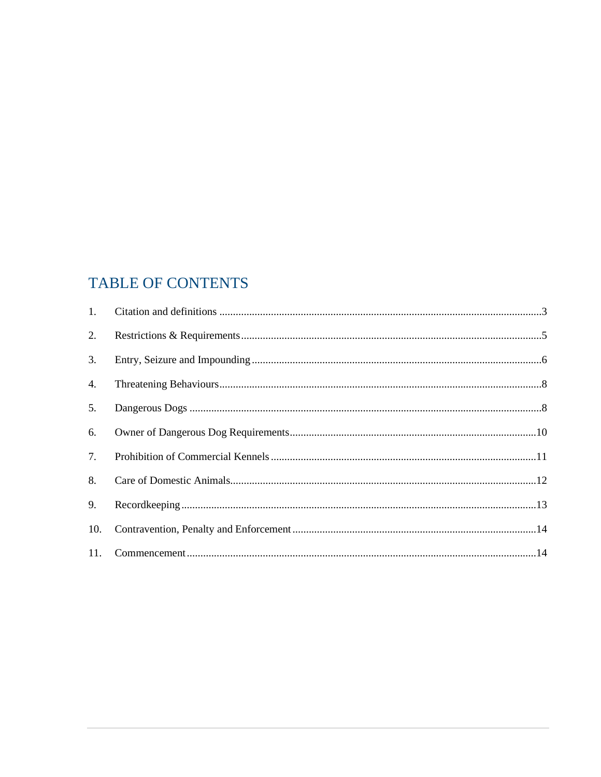# TABLE OF CONTENTS

| 2.  |  |
|-----|--|
| 3.  |  |
| 4.  |  |
| 5.  |  |
| 6.  |  |
| 7.  |  |
| 8.  |  |
| 9.  |  |
| 10. |  |
|     |  |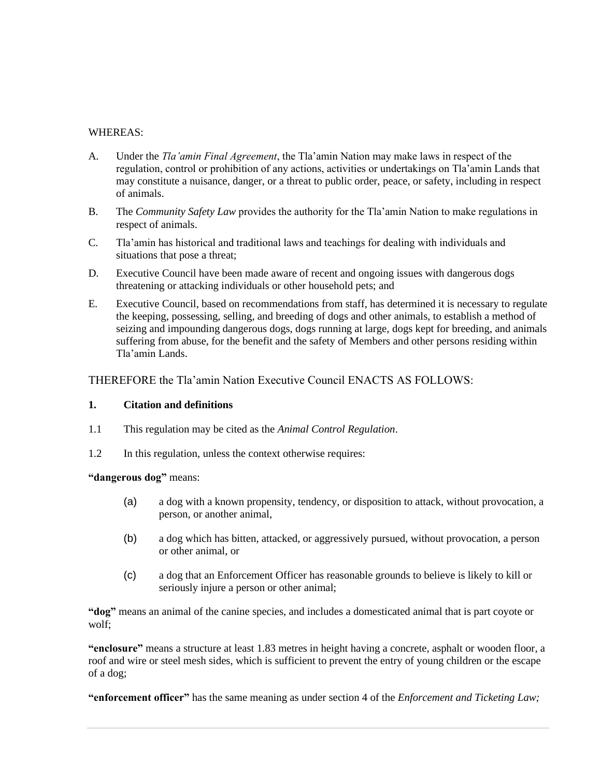## WHEREAS:

- A. Under the *Tla'amin Final Agreement*, the Tla'amin Nation may make laws in respect of the regulation, control or prohibition of any actions, activities or undertakings on Tla'amin Lands that may constitute a nuisance, danger, or a threat to public order, peace, or safety, including in respect of animals.
- B. The *Community Safety Law* provides the authority for the Tla'amin Nation to make regulations in respect of animals.
- C. Tla'amin has historical and traditional laws and teachings for dealing with individuals and situations that pose a threat;
- D. Executive Council have been made aware of recent and ongoing issues with dangerous dogs threatening or attacking individuals or other household pets; and
- E. Executive Council, based on recommendations from staff, has determined it is necessary to regulate the keeping, possessing, selling, and breeding of dogs and other animals, to establish a method of seizing and impounding dangerous dogs, dogs running at large, dogs kept for breeding, and animals suffering from abuse, for the benefit and the safety of Members and other persons residing within Tla'amin Lands.

THEREFORE the Tla'amin Nation Executive Council ENACTS AS FOLLOWS:

# <span id="page-2-0"></span>**1. Citation and definitions**

- 1.1 This regulation may be cited as the *Animal Control Regulation*.
- 1.2 In this regulation, unless the context otherwise requires:

**"dangerous dog"** means:

- (a) a dog with a known propensity, tendency, or disposition to attack, without provocation, a person, or another animal,
- (b) a dog which has bitten, attacked, or aggressively pursued, without provocation, a person or other animal, or
- (c) a dog that an Enforcement Officer has reasonable grounds to believe is likely to kill or seriously injure a person or other animal;

**"dog"** means an animal of the canine species, and includes a domesticated animal that is part coyote or wolf;

**"enclosure"** means a structure at least 1.83 metres in height having a concrete, asphalt or wooden floor, a roof and wire or steel mesh sides, which is sufficient to prevent the entry of young children or the escape of a dog;

**"enforcement officer"** has the same meaning as under section 4 of the *Enforcement and Ticketing Law;*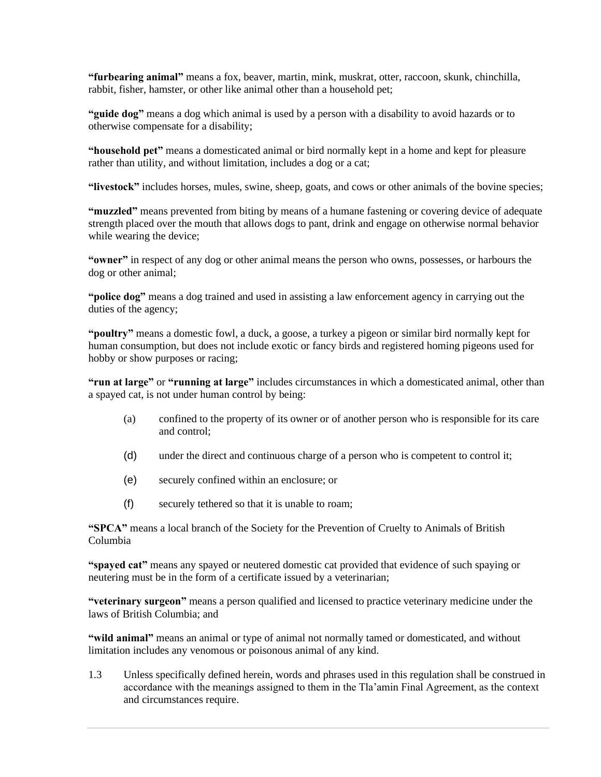**"furbearing animal"** means a fox, beaver, martin, mink, muskrat, otter, raccoon, skunk, chinchilla, rabbit, fisher, hamster, or other like animal other than a household pet;

**"guide dog"** means a dog which animal is used by a person with a disability to avoid hazards or to otherwise compensate for a disability;

**"household pet"** means a domesticated animal or bird normally kept in a home and kept for pleasure rather than utility, and without limitation, includes a dog or a cat;

**"livestock"** includes horses, mules, swine, sheep, goats, and cows or other animals of the bovine species;

**"muzzled"** means prevented from biting by means of a humane fastening or covering device of adequate strength placed over the mouth that allows dogs to pant, drink and engage on otherwise normal behavior while wearing the device;

**"owner"** in respect of any dog or other animal means the person who owns, possesses, or harbours the dog or other animal;

"**police dog**" means a dog trained and used in assisting a law enforcement agency in carrying out the duties of the agency;

**"poultry"** means a domestic fowl, a duck, a goose, a turkey a pigeon or similar bird normally kept for human consumption, but does not include exotic or fancy birds and registered homing pigeons used for hobby or show purposes or racing;

**"run at large"** or **"running at large"** includes circumstances in which a domesticated animal, other than a spayed cat, is not under human control by being:

- (a) confined to the property of its owner or of another person who is responsible for its care and control;
- (d) under the direct and continuous charge of a person who is competent to control it;
- (e) securely confined within an enclosure; or
- (f) securely tethered so that it is unable to roam;

**"SPCA"** means a local branch of the Society for the Prevention of Cruelty to Animals of British Columbia

**"spayed cat"** means any spayed or neutered domestic cat provided that evidence of such spaying or neutering must be in the form of a certificate issued by a veterinarian;

**"veterinary surgeon"** means a person qualified and licensed to practice veterinary medicine under the laws of British Columbia; and

**"wild animal"** means an animal or type of animal not normally tamed or domesticated, and without limitation includes any venomous or poisonous animal of any kind.

1.3 Unless specifically defined herein, words and phrases used in this regulation shall be construed in accordance with the meanings assigned to them in the Tla'amin Final Agreement, as the context and circumstances require.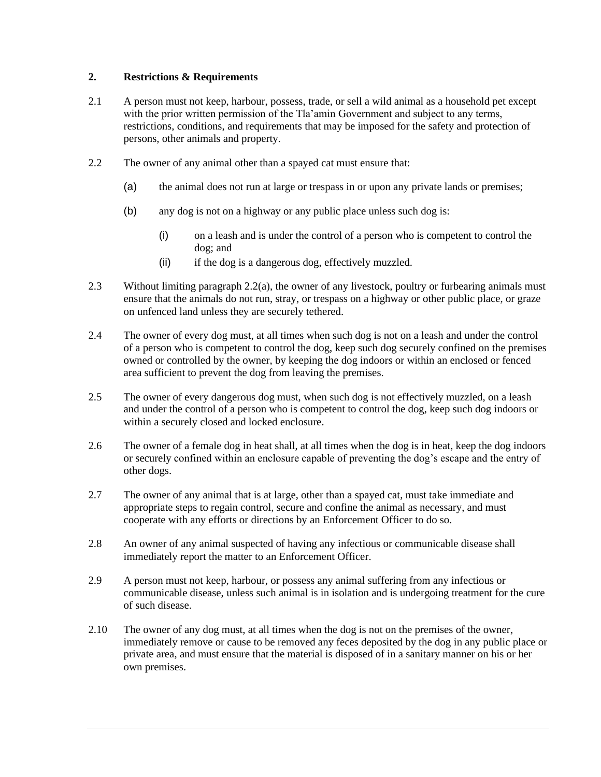# <span id="page-4-0"></span>**2. Restrictions & Requirements**

- 2.1 A person must not keep, harbour, possess, trade, or sell a wild animal as a household pet except with the prior written permission of the Tla'amin Government and subject to any terms, restrictions, conditions, and requirements that may be imposed for the safety and protection of persons, other animals and property.
- <span id="page-4-1"></span>2.2 The owner of any animal other than a spayed cat must ensure that:
	- (a) the animal does not run at large or trespass in or upon any private lands or premises;
	- (b) any dog is not on a highway or any public place unless such dog is:
		- (i) on a leash and is under the control of a person who is competent to control the dog; and
		- (ii) if the dog is a dangerous dog, effectively muzzled.
- 2.3 Without limiting paragraph [2.2\(a\),](#page-4-1) the owner of any livestock, poultry or furbearing animals must ensure that the animals do not run, stray, or trespass on a highway or other public place, or graze on unfenced land unless they are securely tethered.
- 2.4 The owner of every dog must, at all times when such dog is not on a leash and under the control of a person who is competent to control the dog, keep such dog securely confined on the premises owned or controlled by the owner, by keeping the dog indoors or within an enclosed or fenced area sufficient to prevent the dog from leaving the premises.
- 2.5 The owner of every dangerous dog must, when such dog is not effectively muzzled, on a leash and under the control of a person who is competent to control the dog, keep such dog indoors or within a securely closed and locked enclosure.
- 2.6 The owner of a female dog in heat shall, at all times when the dog is in heat, keep the dog indoors or securely confined within an enclosure capable of preventing the dog's escape and the entry of other dogs.
- 2.7 The owner of any animal that is at large, other than a spayed cat, must take immediate and appropriate steps to regain control, secure and confine the animal as necessary, and must cooperate with any efforts or directions by an Enforcement Officer to do so.
- 2.8 An owner of any animal suspected of having any infectious or communicable disease shall immediately report the matter to an Enforcement Officer.
- 2.9 A person must not keep, harbour, or possess any animal suffering from any infectious or communicable disease, unless such animal is in isolation and is undergoing treatment for the cure of such disease.
- 2.10 The owner of any dog must, at all times when the dog is not on the premises of the owner, immediately remove or cause to be removed any feces deposited by the dog in any public place or private area, and must ensure that the material is disposed of in a sanitary manner on his or her own premises.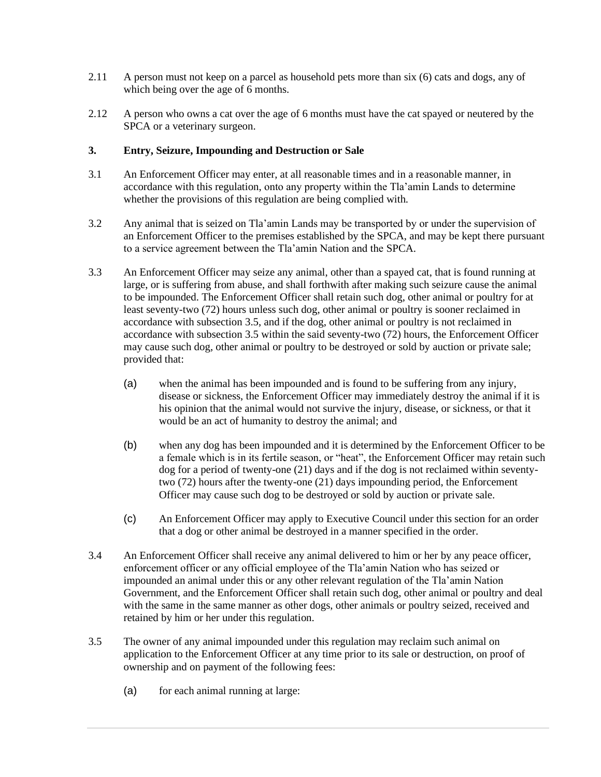- 2.11 A person must not keep on a parcel as household pets more than six (6) cats and dogs, any of which being over the age of 6 months.
- 2.12 A person who owns a cat over the age of 6 months must have the cat spayed or neutered by the SPCA or a veterinary surgeon.

#### <span id="page-5-0"></span>**3. Entry, Seizure, Impounding and Destruction or Sale**

- 3.1 An Enforcement Officer may enter, at all reasonable times and in a reasonable manner, in accordance with this regulation, onto any property within the Tla'amin Lands to determine whether the provisions of this regulation are being complied with.
- 3.2 Any animal that is seized on Tla'amin Lands may be transported by or under the supervision of an Enforcement Officer to the premises established by the SPCA, and may be kept there pursuant to a service agreement between the Tla'amin Nation and the SPCA.
- 3.3 An Enforcement Officer may seize any animal, other than a spayed cat, that is found running at large, or is suffering from abuse, and shall forthwith after making such seizure cause the animal to be impounded. The Enforcement Officer shall retain such dog, other animal or poultry for at least seventy-two (72) hours unless such dog, other animal or poultry is sooner reclaimed in accordance with subsection 3.5, and if the dog, other animal or poultry is not reclaimed in accordance with subsection 3.5 within the said seventy-two (72) hours, the Enforcement Officer may cause such dog, other animal or poultry to be destroyed or sold by auction or private sale; provided that:
	- (a) when the animal has been impounded and is found to be suffering from any injury, disease or sickness, the Enforcement Officer may immediately destroy the animal if it is his opinion that the animal would not survive the injury, disease, or sickness, or that it would be an act of humanity to destroy the animal; and
	- (b) when any dog has been impounded and it is determined by the Enforcement Officer to be a female which is in its fertile season, or "heat", the Enforcement Officer may retain such dog for a period of twenty-one (21) days and if the dog is not reclaimed within seventytwo (72) hours after the twenty-one (21) days impounding period, the Enforcement Officer may cause such dog to be destroyed or sold by auction or private sale.
	- (c) An Enforcement Officer may apply to Executive Council under this section for an order that a dog or other animal be destroyed in a manner specified in the order.
- 3.4 An Enforcement Officer shall receive any animal delivered to him or her by any peace officer, enforcement officer or any official employee of the Tla'amin Nation who has seized or impounded an animal under this or any other relevant regulation of the Tla'amin Nation Government, and the Enforcement Officer shall retain such dog, other animal or poultry and deal with the same in the same manner as other dogs, other animals or poultry seized, received and retained by him or her under this regulation.
- 3.5 The owner of any animal impounded under this regulation may reclaim such animal on application to the Enforcement Officer at any time prior to its sale or destruction, on proof of ownership and on payment of the following fees:
	- (a) for each animal running at large: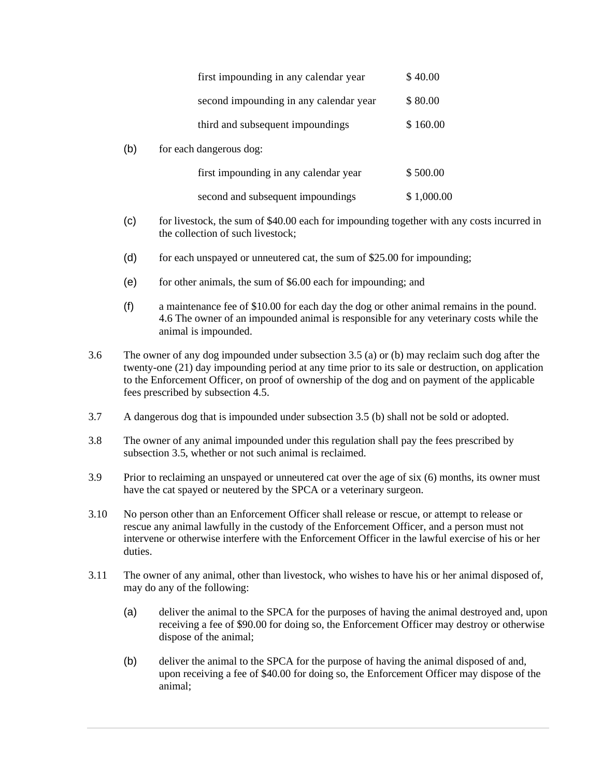|     | first impounding in any calendar year  | \$40.00    |
|-----|----------------------------------------|------------|
|     | second impounding in any calendar year | \$80.00    |
|     | third and subsequent impoundings       | \$160.00   |
| (b) | for each dangerous dog:                |            |
|     | first impounding in any calendar year  | \$500.00   |
|     | second and subsequent impoundings      | \$1,000.00 |

- (c) for livestock, the sum of \$40.00 each for impounding together with any costs incurred in the collection of such livestock;
- (d) for each unspayed or unneutered cat, the sum of  $$25.00$  for impounding;
- (e) for other animals, the sum of \$6.00 each for impounding; and
- (f) a maintenance fee of \$10.00 for each day the dog or other animal remains in the pound. 4.6 The owner of an impounded animal is responsible for any veterinary costs while the animal is impounded.
- 3.6 The owner of any dog impounded under subsection 3.5 (a) or (b) may reclaim such dog after the twenty-one (21) day impounding period at any time prior to its sale or destruction, on application to the Enforcement Officer, on proof of ownership of the dog and on payment of the applicable fees prescribed by subsection 4.5.
- 3.7 A dangerous dog that is impounded under subsection 3.5 (b) shall not be sold or adopted.
- 3.8 The owner of any animal impounded under this regulation shall pay the fees prescribed by subsection 3.5, whether or not such animal is reclaimed.
- 3.9 Prior to reclaiming an unspayed or unneutered cat over the age of six (6) months, its owner must have the cat spayed or neutered by the SPCA or a veterinary surgeon.
- 3.10 No person other than an Enforcement Officer shall release or rescue, or attempt to release or rescue any animal lawfully in the custody of the Enforcement Officer, and a person must not intervene or otherwise interfere with the Enforcement Officer in the lawful exercise of his or her duties.
- 3.11 The owner of any animal, other than livestock, who wishes to have his or her animal disposed of, may do any of the following:
	- (a) deliver the animal to the SPCA for the purposes of having the animal destroyed and, upon receiving a fee of \$90.00 for doing so, the Enforcement Officer may destroy or otherwise dispose of the animal;
	- (b) deliver the animal to the SPCA for the purpose of having the animal disposed of and, upon receiving a fee of \$40.00 for doing so, the Enforcement Officer may dispose of the animal;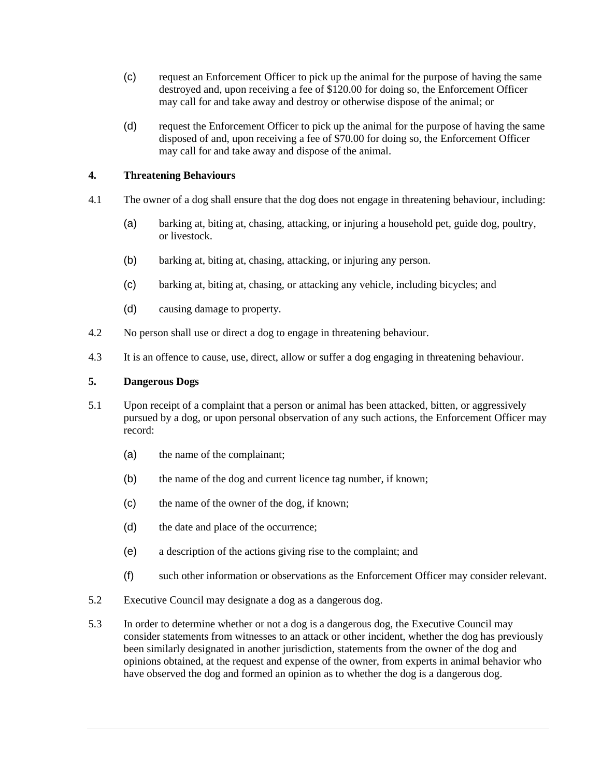- (c) request an Enforcement Officer to pick up the animal for the purpose of having the same destroyed and, upon receiving a fee of \$120.00 for doing so, the Enforcement Officer may call for and take away and destroy or otherwise dispose of the animal; or
- (d) request the Enforcement Officer to pick up the animal for the purpose of having the same disposed of and, upon receiving a fee of \$70.00 for doing so, the Enforcement Officer may call for and take away and dispose of the animal.

## <span id="page-7-0"></span>**4. Threatening Behaviours**

- 4.1 The owner of a dog shall ensure that the dog does not engage in threatening behaviour, including:
	- (a) barking at, biting at, chasing, attacking, or injuring a household pet, guide dog, poultry, or livestock.
	- (b) barking at, biting at, chasing, attacking, or injuring any person.
	- (c) barking at, biting at, chasing, or attacking any vehicle, including bicycles; and
	- (d) causing damage to property.
- 4.2 No person shall use or direct a dog to engage in threatening behaviour.
- 4.3 It is an offence to cause, use, direct, allow or suffer a dog engaging in threatening behaviour.

## <span id="page-7-1"></span>**5. Dangerous Dogs**

- 5.1 Upon receipt of a complaint that a person or animal has been attacked, bitten, or aggressively pursued by a dog, or upon personal observation of any such actions, the Enforcement Officer may record:
	- (a) the name of the complainant;
	- (b) the name of the dog and current licence tag number, if known;
	- (c) the name of the owner of the dog, if known;
	- (d) the date and place of the occurrence;
	- (e) a description of the actions giving rise to the complaint; and
	- (f) such other information or observations as the Enforcement Officer may consider relevant.
- 5.2 Executive Council may designate a dog as a dangerous dog.
- 5.3 In order to determine whether or not a dog is a dangerous dog, the Executive Council may consider statements from witnesses to an attack or other incident, whether the dog has previously been similarly designated in another jurisdiction, statements from the owner of the dog and opinions obtained, at the request and expense of the owner, from experts in animal behavior who have observed the dog and formed an opinion as to whether the dog is a dangerous dog.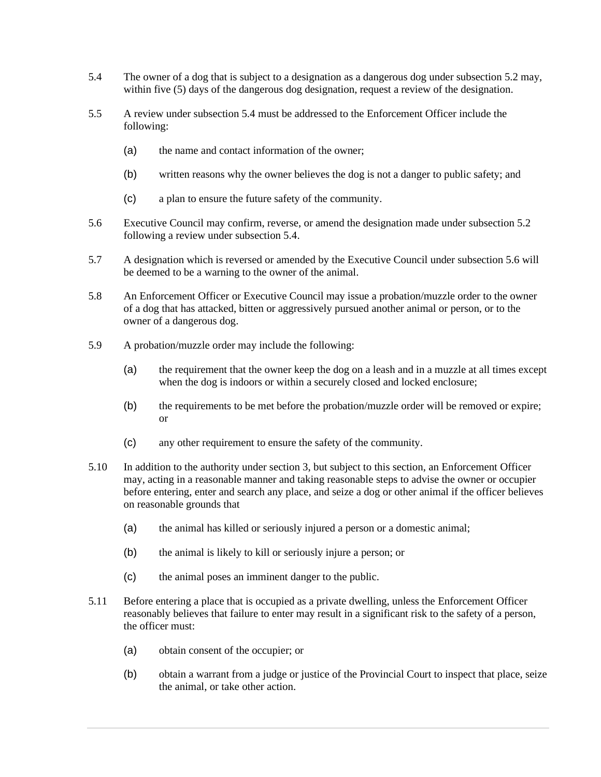- 5.4 The owner of a dog that is subject to a designation as a dangerous dog under subsection 5.2 may, within five (5) days of the dangerous dog designation, request a review of the designation.
- 5.5 A review under subsection 5.4 must be addressed to the Enforcement Officer include the following:
	- (a) the name and contact information of the owner;
	- (b) written reasons why the owner believes the dog is not a danger to public safety; and
	- (c) a plan to ensure the future safety of the community.
- 5.6 Executive Council may confirm, reverse, or amend the designation made under subsection 5.2 following a review under subsection 5.4.
- 5.7 A designation which is reversed or amended by the Executive Council under subsection 5.6 will be deemed to be a warning to the owner of the animal.
- 5.8 An Enforcement Officer or Executive Council may issue a probation/muzzle order to the owner of a dog that has attacked, bitten or aggressively pursued another animal or person, or to the owner of a dangerous dog.
- 5.9 A probation/muzzle order may include the following:
	- (a) the requirement that the owner keep the dog on a leash and in a muzzle at all times except when the dog is indoors or within a securely closed and locked enclosure;
	- (b) the requirements to be met before the probation/muzzle order will be removed or expire; or
	- (c) any other requirement to ensure the safety of the community.
- 5.10 In addition to the authority under section 3, but subject to this section, an Enforcement Officer may, acting in a reasonable manner and taking reasonable steps to advise the owner or occupier before entering, enter and search any place, and seize a dog or other animal if the officer believes on reasonable grounds that
	- (a) the animal has killed or seriously injured a person or a domestic animal;
	- (b) the animal is likely to kill or seriously injure a person; or
	- (c) the animal poses an imminent danger to the public.
- 5.11 Before entering a place that is occupied as a private dwelling, unless the Enforcement Officer reasonably believes that failure to enter may result in a significant risk to the safety of a person, the officer must:
	- (a) obtain consent of the occupier; or
	- (b) obtain a warrant from a judge or justice of the Provincial Court to inspect that place, seize the animal, or take other action.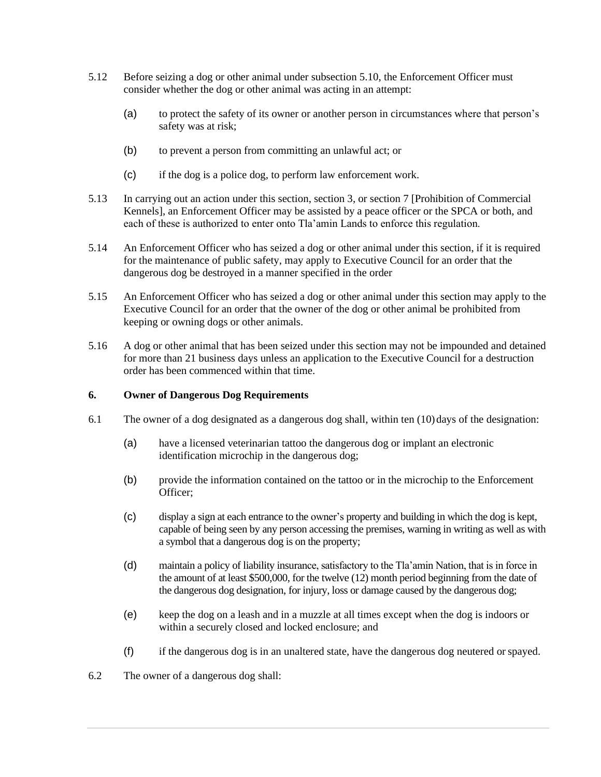- 5.12 Before seizing a dog or other animal under subsection 5.10, the Enforcement Officer must consider whether the dog or other animal was acting in an attempt:
	- (a) to protect the safety of its owner or another person in circumstances where that person's safety was at risk;
	- (b) to prevent a person from committing an unlawful act; or
	- (c) if the dog is a police dog, to perform law enforcement work.
- 5.13 In carrying out an action under this section, section 3, or section 7 [Prohibition of Commercial Kennels], an Enforcement Officer may be assisted by a peace officer or the SPCA or both, and each of these is authorized to enter onto Tla'amin Lands to enforce this regulation.
- 5.14 An Enforcement Officer who has seized a dog or other animal under this section, if it is required for the maintenance of public safety, may apply to Executive Council for an order that the dangerous dog be destroyed in a manner specified in the order
- 5.15 An Enforcement Officer who has seized a dog or other animal under this section may apply to the Executive Council for an order that the owner of the dog or other animal be prohibited from keeping or owning dogs or other animals.
- 5.16 A dog or other animal that has been seized under this section may not be impounded and detained for more than 21 business days unless an application to the Executive Council for a destruction order has been commenced within that time.

#### <span id="page-9-0"></span>**6. Owner of Dangerous Dog Requirements**

- 6.1 The owner of a dog designated as a dangerous dog shall, within ten (10) days of the designation:
	- (a) have a licensed veterinarian tattoo the dangerous dog or implant an electronic identification microchip in the dangerous dog;
	- (b) provide the information contained on the tattoo or in the microchip to the Enforcement Officer;
	- (c) display a sign at each entrance to the owner's property and building in which the dog is kept, capable of being seen by any person accessing the premises, warning in writing as well as with a symbol that a dangerous dog is on the property;
	- (d) maintain a policy of liability insurance, satisfactory to the Tla'amin Nation, that is in force in the amount of at least \$500,000, for the twelve (12) month period beginning from the date of the dangerous dog designation, for injury, loss or damage caused by the dangerous dog;
	- (e) keep the dog on a leash and in a muzzle at all times except when the dog is indoors or within a securely closed and locked enclosure; and
	- (f) if the dangerous dog is in an unaltered state, have the dangerous dog neutered or spayed.
- 6.2 The owner of a dangerous dog shall: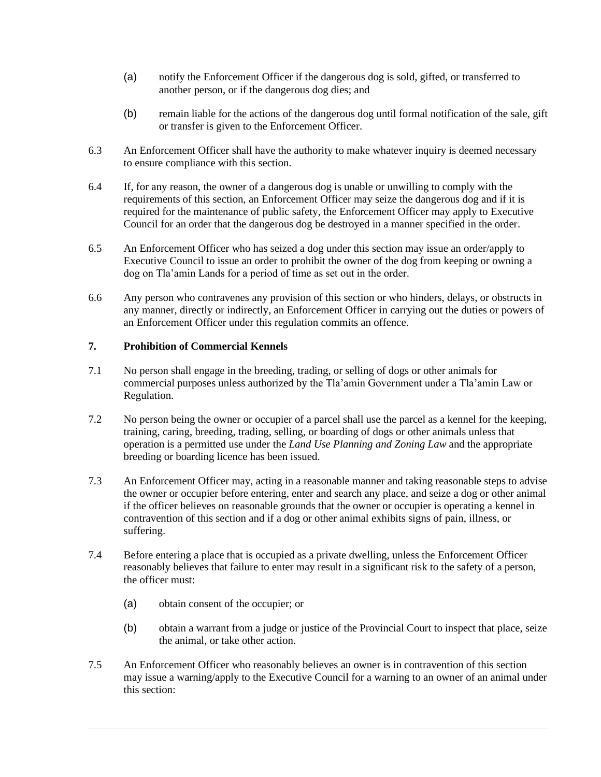- (a) notify the Enforcement Officer if the dangerous dog is sold, gifted, or transferred to another person, or if the dangerous dog dies; and
- (b) remain liable for the actions of the dangerous dog until formal notification of the sale, gift or transfer is given to the Enforcement Officer.
- 6.3 An Enforcement Officer shall have the authority to make whatever inquiry is deemed necessary to ensure compliance with this section.
- 6.4 If, for any reason, the owner of a dangerous dog is unable or unwilling to comply with the requirements of this section, an Enforcement Officer may seize the dangerous dog and if it is required for the maintenance of public safety, the Enforcement Officer may apply to Executive Council for an order that the dangerous dog be destroyed in a manner specified in the order.
- 6.5 An Enforcement Officer who has seized a dog under this section may issue an order/apply to Executive Council to issue an order to prohibit the owner of the dog from keeping or owning a dog on Tla'amin Lands for a period of time as set out in the order.
- 6.6 Any person who contravenes any provision of this section or who hinders, delays, or obstructs in any manner, directly or indirectly, an Enforcement Officer in carrying out the duties or powers of an Enforcement Officer under this regulation commits an offence.

## <span id="page-10-0"></span>**7. Prohibition of Commercial Kennels**

- 7.1 No person shall engage in the breeding, trading, or selling of dogs or other animals for commercial purposes unless authorized by the Tla'amin Government under a Tla'amin Law or Regulation.
- 7.2 No person being the owner or occupier of a parcel shall use the parcel as a kennel for the keeping, training, caring, breeding, trading, selling, or boarding of dogs or other animals unless that operation is a permitted use under the *Land Use Planning and Zoning Law* and the appropriate breeding or boarding licence has been issued.
- 7.3 An Enforcement Officer may, acting in a reasonable manner and taking reasonable steps to advise the owner or occupier before entering, enter and search any place, and seize a dog or other animal if the officer believes on reasonable grounds that the owner or occupier is operating a kennel in contravention of this section and if a dog or other animal exhibits signs of pain, illness, or suffering.
- 7.4 Before entering a place that is occupied as a private dwelling, unless the Enforcement Officer reasonably believes that failure to enter may result in a significant risk to the safety of a person, the officer must:
	- (a) obtain consent of the occupier; or
	- (b) obtain a warrant from a judge or justice of the Provincial Court to inspect that place, seize the animal, or take other action.
- 7.5 An Enforcement Officer who reasonably believes an owner is in contravention of this section may issue a warning/apply to the Executive Council for a warning to an owner of an animal under this section: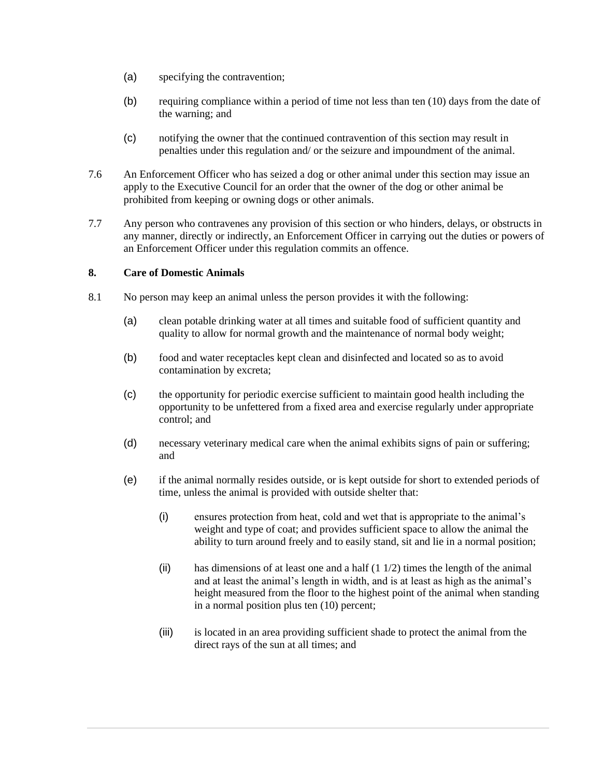- (a) specifying the contravention;
- (b) requiring compliance within a period of time not less than ten (10) days from the date of the warning; and
- (c) notifying the owner that the continued contravention of this section may result in penalties under this regulation and/ or the seizure and impoundment of the animal.
- 7.6 An Enforcement Officer who has seized a dog or other animal under this section may issue an apply to the Executive Council for an order that the owner of the dog or other animal be prohibited from keeping or owning dogs or other animals.
- 7.7 Any person who contravenes any provision of this section or who hinders, delays, or obstructs in any manner, directly or indirectly, an Enforcement Officer in carrying out the duties or powers of an Enforcement Officer under this regulation commits an offence.

## <span id="page-11-0"></span>**8. Care of Domestic Animals**

- 8.1 No person may keep an animal unless the person provides it with the following:
	- (a) clean potable drinking water at all times and suitable food of sufficient quantity and quality to allow for normal growth and the maintenance of normal body weight;
	- (b) food and water receptacles kept clean and disinfected and located so as to avoid contamination by excreta;
	- (c) the opportunity for periodic exercise sufficient to maintain good health including the opportunity to be unfettered from a fixed area and exercise regularly under appropriate control; and
	- (d) necessary veterinary medical care when the animal exhibits signs of pain or suffering; and
	- (e) if the animal normally resides outside, or is kept outside for short to extended periods of time, unless the animal is provided with outside shelter that:
		- (i) ensures protection from heat, cold and wet that is appropriate to the animal's weight and type of coat; and provides sufficient space to allow the animal the ability to turn around freely and to easily stand, sit and lie in a normal position;
		- (ii) has dimensions of at least one and a half  $(1 1/2)$  times the length of the animal and at least the animal's length in width, and is at least as high as the animal's height measured from the floor to the highest point of the animal when standing in a normal position plus ten (10) percent;
		- (iii) is located in an area providing sufficient shade to protect the animal from the direct rays of the sun at all times; and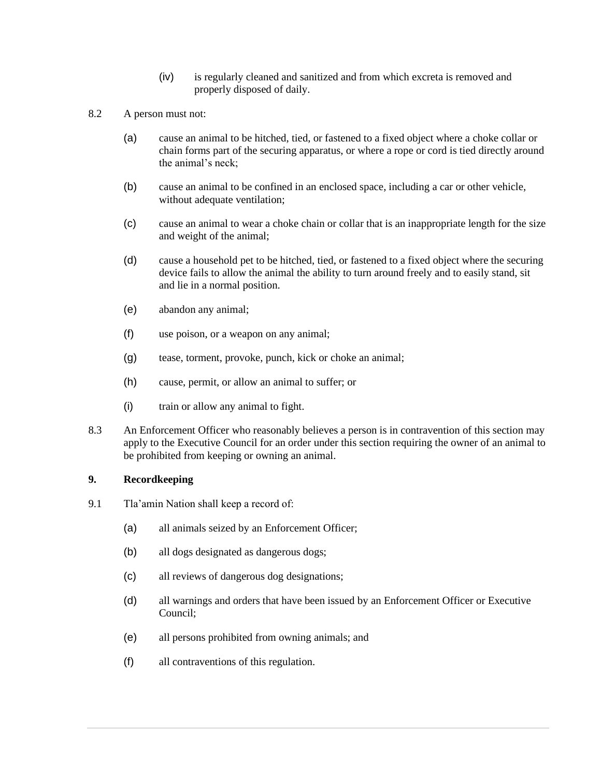- (iv) is regularly cleaned and sanitized and from which excreta is removed and properly disposed of daily.
- 8.2 A person must not:
	- (a) cause an animal to be hitched, tied, or fastened to a fixed object where a choke collar or chain forms part of the securing apparatus, or where a rope or cord is tied directly around the animal's neck;
	- (b) cause an animal to be confined in an enclosed space, including a car or other vehicle, without adequate ventilation;
	- (c) cause an animal to wear a choke chain or collar that is an inappropriate length for the size and weight of the animal;
	- (d) cause a household pet to be hitched, tied, or fastened to a fixed object where the securing device fails to allow the animal the ability to turn around freely and to easily stand, sit and lie in a normal position.
	- (e) abandon any animal;
	- (f) use poison, or a weapon on any animal;
	- (g) tease, torment, provoke, punch, kick or choke an animal;
	- (h) cause, permit, or allow an animal to suffer; or
	- (i) train or allow any animal to fight.
- 8.3 An Enforcement Officer who reasonably believes a person is in contravention of this section may apply to the Executive Council for an order under this section requiring the owner of an animal to be prohibited from keeping or owning an animal.

#### <span id="page-12-0"></span>**9. Recordkeeping**

- 9.1 Tla'amin Nation shall keep a record of:
	- (a) all animals seized by an Enforcement Officer;
	- (b) all dogs designated as dangerous dogs;
	- (c) all reviews of dangerous dog designations;
	- (d) all warnings and orders that have been issued by an Enforcement Officer or Executive Council;
	- (e) all persons prohibited from owning animals; and
	- (f) all contraventions of this regulation.